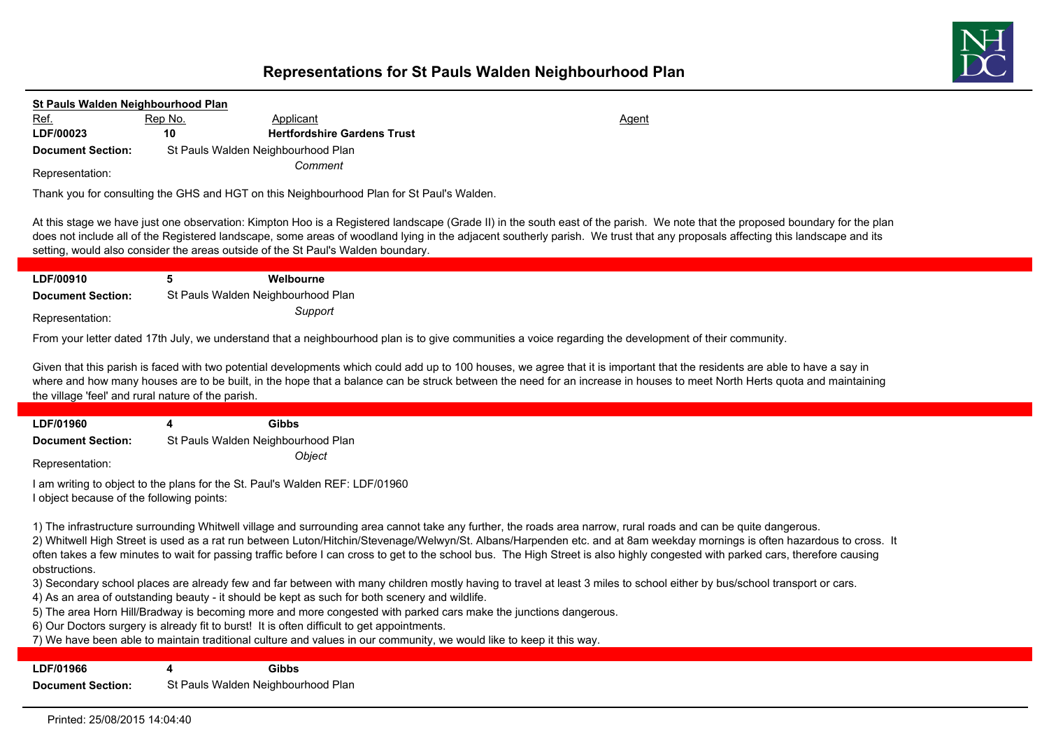

| St Pauls Walden Neighbourhood Plan                 |                                    |                                                                                                |                                                                                                                                                                                                                                                                                                                                                                                                                                                                                                                                 |  |
|----------------------------------------------------|------------------------------------|------------------------------------------------------------------------------------------------|---------------------------------------------------------------------------------------------------------------------------------------------------------------------------------------------------------------------------------------------------------------------------------------------------------------------------------------------------------------------------------------------------------------------------------------------------------------------------------------------------------------------------------|--|
| Ref.                                               | Rep No.                            | Applicant                                                                                      | Agent                                                                                                                                                                                                                                                                                                                                                                                                                                                                                                                           |  |
| LDF/00023                                          | 10                                 | <b>Hertfordshire Gardens Trust</b>                                                             |                                                                                                                                                                                                                                                                                                                                                                                                                                                                                                                                 |  |
| <b>Document Section:</b>                           | St Pauls Walden Neighbourhood Plan |                                                                                                |                                                                                                                                                                                                                                                                                                                                                                                                                                                                                                                                 |  |
| Representation:                                    |                                    | Comment                                                                                        |                                                                                                                                                                                                                                                                                                                                                                                                                                                                                                                                 |  |
|                                                    |                                    | Thank you for consulting the GHS and HGT on this Neighbourhood Plan for St Paul's Walden.      |                                                                                                                                                                                                                                                                                                                                                                                                                                                                                                                                 |  |
|                                                    |                                    | setting, would also consider the areas outside of the St Paul's Walden boundary.               | At this stage we have just one observation: Kimpton Hoo is a Registered landscape (Grade II) in the south east of the parish. We note that the proposed boundary for the plan<br>does not include all of the Registered landscape, some areas of woodland lying in the adjacent southerly parish. We trust that any proposals affecting this landscape and its                                                                                                                                                                  |  |
| LDF/00910                                          | 5                                  | Welbourne                                                                                      |                                                                                                                                                                                                                                                                                                                                                                                                                                                                                                                                 |  |
| <b>Document Section:</b>                           | St Pauls Walden Neighbourhood Plan |                                                                                                |                                                                                                                                                                                                                                                                                                                                                                                                                                                                                                                                 |  |
| Representation:                                    |                                    | Support                                                                                        |                                                                                                                                                                                                                                                                                                                                                                                                                                                                                                                                 |  |
|                                                    |                                    |                                                                                                | From your letter dated 17th July, we understand that a neighbourhood plan is to give communities a voice regarding the development of their community.                                                                                                                                                                                                                                                                                                                                                                          |  |
| the village 'feel' and rural nature of the parish. |                                    |                                                                                                | Given that this parish is faced with two potential developments which could add up to 100 houses, we agree that it is important that the residents are able to have a say in<br>where and how many houses are to be built, in the hope that a balance can be struck between the need for an increase in houses to meet North Herts quota and maintaining                                                                                                                                                                        |  |
| LDF/01960                                          | 4                                  | <b>Gibbs</b>                                                                                   |                                                                                                                                                                                                                                                                                                                                                                                                                                                                                                                                 |  |
| <b>Document Section:</b>                           | St Pauls Walden Neighbourhood Plan |                                                                                                |                                                                                                                                                                                                                                                                                                                                                                                                                                                                                                                                 |  |
|                                                    |                                    | Object                                                                                         |                                                                                                                                                                                                                                                                                                                                                                                                                                                                                                                                 |  |
| Representation:                                    |                                    |                                                                                                |                                                                                                                                                                                                                                                                                                                                                                                                                                                                                                                                 |  |
| I object because of the following points:          |                                    | I am writing to object to the plans for the St. Paul's Walden REF: LDF/01960                   |                                                                                                                                                                                                                                                                                                                                                                                                                                                                                                                                 |  |
| obstructions.                                      |                                    |                                                                                                | 1) The infrastructure surrounding Whitwell village and surrounding area cannot take any further, the roads area narrow, rural roads and can be quite dangerous.<br>2) Whitwell High Street is used as a rat run between Luton/Hitchin/Stevenage/Welwyn/St. Albans/Harpenden etc. and at 8am weekday mornings is often hazardous to cross. It<br>often takes a few minutes to wait for passing traffic before I can cross to get to the school bus. The High Street is also highly congested with parked cars, therefore causing |  |
|                                                    |                                    |                                                                                                | 3) Secondary school places are already few and far between with many children mostly having to travel at least 3 miles to school either by bus/school transport or cars.                                                                                                                                                                                                                                                                                                                                                        |  |
|                                                    |                                    | 4) As an area of outstanding beauty - it should be kept as such for both scenery and wildlife. |                                                                                                                                                                                                                                                                                                                                                                                                                                                                                                                                 |  |
|                                                    |                                    |                                                                                                | 5) The area Horn Hill/Bradway is becoming more and more congested with parked cars make the junctions dangerous.                                                                                                                                                                                                                                                                                                                                                                                                                |  |
|                                                    |                                    | 6) Our Doctors surgery is already fit to burst! It is often difficult to get appointments.     | 7) We have been able to maintain traditional culture and values in our community, we would like to keep it this way.                                                                                                                                                                                                                                                                                                                                                                                                            |  |
|                                                    |                                    |                                                                                                |                                                                                                                                                                                                                                                                                                                                                                                                                                                                                                                                 |  |
| LDF/01966                                          |                                    |                                                                                                |                                                                                                                                                                                                                                                                                                                                                                                                                                                                                                                                 |  |
|                                                    | 4                                  | <b>Gibbs</b>                                                                                   |                                                                                                                                                                                                                                                                                                                                                                                                                                                                                                                                 |  |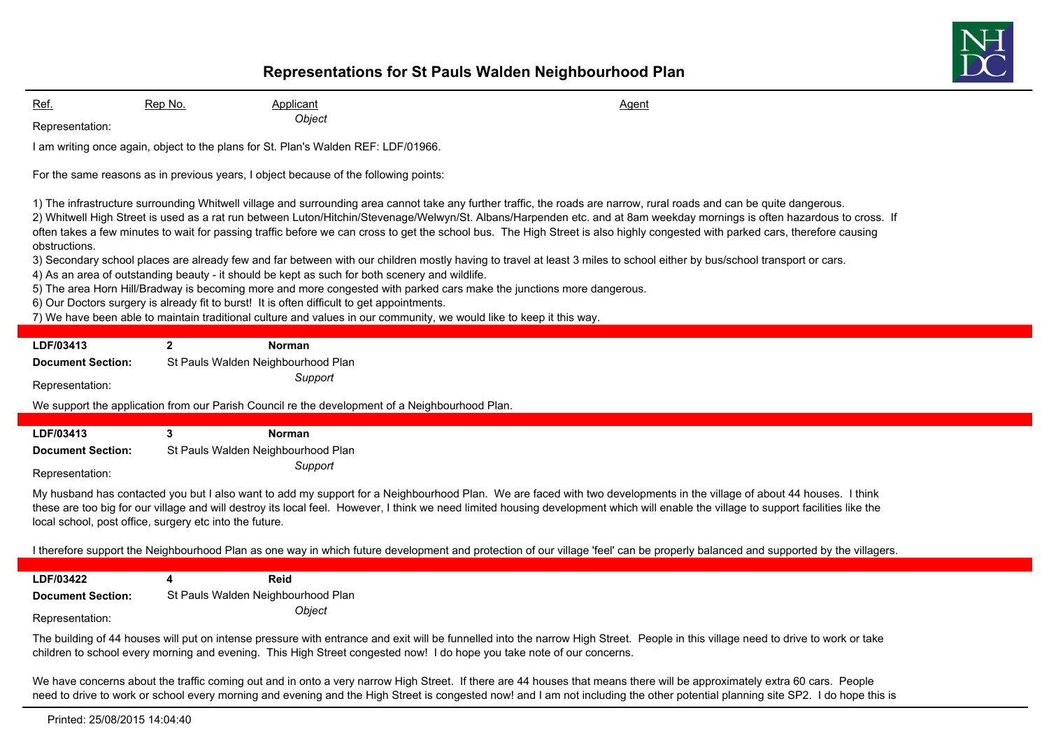

Ref. 6. Rep No. 2008 Applicant Agent Agent Agent Agent Agent Agent Agent Agent Agent *Object* Representation:

I am writing once again, object to the plans for St. Plan's Walden REF: LDF/01966.

For the same reasons as in previous years, I object because of the following points:

1) The infrastructure surrounding Whitwell village and surrounding area cannot take any further traffic, the roads are narrow, rural roads and can be quite dangerous.

2) Whitwell High Street is used as a rat run between Luton/Hitchin/Stevenage/Welwyn/St. Albans/Harpenden etc. and at 8am weekday mornings is often hazardous to cross. If often takes a few minutes to wait for passing traffic before we can cross to get the school bus. The High Street is also highly congested with parked cars, therefore causing obstructions.

3) Secondary school places are already few and far between with our children mostly having to travel at least 3 miles to school either by bus/school transport or cars.

- 4) As an area of outstanding beauty it should be kept as such for both scenery and wildlife.
- 5) The area Horn Hill/Bradway is becoming more and more congested with parked cars make the junctions more dangerous.
- 6) Our Doctors surgery is already fit to burst! It is often difficult to get appointments.
- 7) We have been able to maintain traditional culture and values in our community, we would like to keep it this way.

| LDF/03413                |   | Norman                             |                                                                                                                                                                    |
|--------------------------|---|------------------------------------|--------------------------------------------------------------------------------------------------------------------------------------------------------------------|
| <b>Document Section:</b> |   | St Pauls Walden Neighbourhood Plan |                                                                                                                                                                    |
| Representation:          |   | Support                            |                                                                                                                                                                    |
|                          |   |                                    | We support the application from our Parish Council re the development of a Neighbourhood Plan.                                                                     |
|                          |   |                                    |                                                                                                                                                                    |
| LDF/03413                | 3 | <b>Norman</b>                      |                                                                                                                                                                    |
| <b>Document Section:</b> |   | St Pauls Walden Neighbourhood Plan |                                                                                                                                                                    |
| Representation:          |   | Support                            |                                                                                                                                                                    |
|                          |   |                                    | Muhuphand bee contected vau but Lolen wort to odd mu support for a Neighbourhood Dlap Ma are food with two developments in the village of shout 44 bouges. Librale |

My husband has contacted you but I also want to add my support for a Neighbourhood Plan. We are faced with two developments in the village of about 44 houses. I think these are too big for our village and will destroy its local feel. However, I think we need limited housing development which will enable the village to support facilities like the local school, post office, surgery etc into the future.

I therefore support the Neighbourhood Plan as one way in which future development and protection of our village 'feel' can be properly balanced and supported by the villagers.

**LDF/03422 4 Reid Document Section:** St Pauls Walden Neighbourhood Plan *Object* Representation:

The building of 44 houses will put on intense pressure with entrance and exit will be funnelled into the narrow High Street. People in this village need to drive to work or take children to school every morning and evening. This High Street congested now! I do hope you take note of our concerns.

We have concerns about the traffic coming out and in onto a very narrow High Street. If there are 44 houses that means there will be approximately extra 60 cars. People need to drive to work or school every morning and evening and the High Street is congested now! and I am not including the other potential planning site SP2. I do hope this is

Printed: 25/08/2015 14:04:40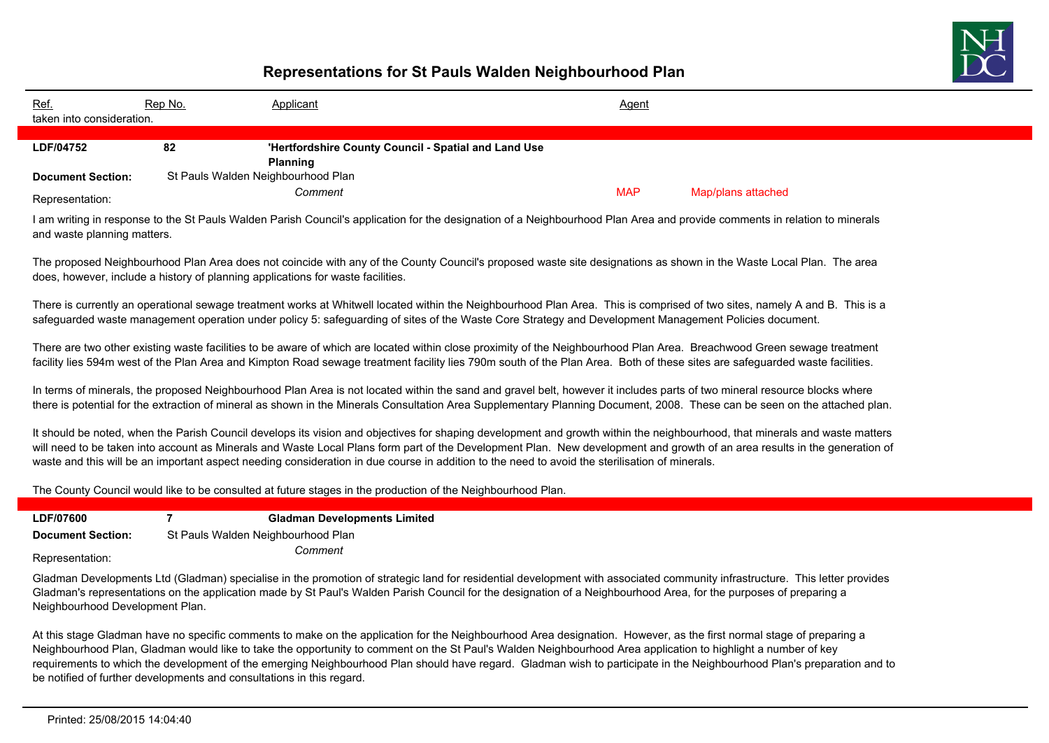

| Ref.<br>taken into consideration. | Rep No. | <b>Applicant</b>                                     | <b>Agent</b> |                    |
|-----------------------------------|---------|------------------------------------------------------|--------------|--------------------|
|                                   |         |                                                      |              |                    |
| LDF/04752                         | 82      | 'Hertfordshire County Council - Spatial and Land Use |              |                    |
|                                   |         | <b>Planning</b>                                      |              |                    |
| <b>Document Section:</b>          |         | St Pauls Walden Neighbourhood Plan                   |              |                    |
| Representation:                   |         | Comment                                              | <b>MAP</b>   | Map/plans attached |

I am writing in response to the St Pauls Walden Parish Council's application for the designation of a Neighbourhood Plan Area and provide comments in relation to minerals and waste planning matters.

The proposed Neighbourhood Plan Area does not coincide with any of the County Council's proposed waste site designations as shown in the Waste Local Plan. The area does, however, include a history of planning applications for waste facilities.

There is currently an operational sewage treatment works at Whitwell located within the Neighbourhood Plan Area. This is comprised of two sites, namely A and B. This is a safeguarded waste management operation under policy 5: safeguarding of sites of the Waste Core Strategy and Development Management Policies document.

There are two other existing waste facilities to be aware of which are located within close proximity of the Neighbourhood Plan Area. Breachwood Green sewage treatment facility lies 594m west of the Plan Area and Kimpton Road sewage treatment facility lies 790m south of the Plan Area. Both of these sites are safeguarded waste facilities.

In terms of minerals, the proposed Neighbourhood Plan Area is not located within the sand and gravel belt, however it includes parts of two mineral resource blocks where there is potential for the extraction of mineral as shown in the Minerals Consultation Area Supplementary Planning Document, 2008. These can be seen on the attached plan.

It should be noted, when the Parish Council develops its vision and objectives for shaping development and growth within the neighbourhood, that minerals and waste matters will need to be taken into account as Minerals and Waste Local Plans form part of the Development Plan. New development and growth of an area results in the generation of waste and this will be an important aspect needing consideration in due course in addition to the need to avoid the sterilisation of minerals.

The County Council would like to be consulted at future stages in the production of the Neighbourhood Plan.

| LDF/07600                | <b>Gladman Developments Limited</b> |
|--------------------------|-------------------------------------|
| <b>Document Section:</b> | St Pauls Walden Neighbourhood Plan  |
| Representation:          | Comment                             |

Gladman Developments Ltd (Gladman) specialise in the promotion of strategic land for residential development with associated community infrastructure. This letter provides Gladman's representations on the application made by St Paul's Walden Parish Council for the designation of a Neighbourhood Area, for the purposes of preparing a Neighbourhood Development Plan.

At this stage Gladman have no specific comments to make on the application for the Neighbourhood Area designation. However, as the first normal stage of preparing a Neighbourhood Plan, Gladman would like to take the opportunity to comment on the St Paul's Walden Neighbourhood Area application to highlight a number of key requirements to which the development of the emerging Neighbourhood Plan should have regard. Gladman wish to participate in the Neighbourhood Plan's preparation and to be notified of further developments and consultations in this regard.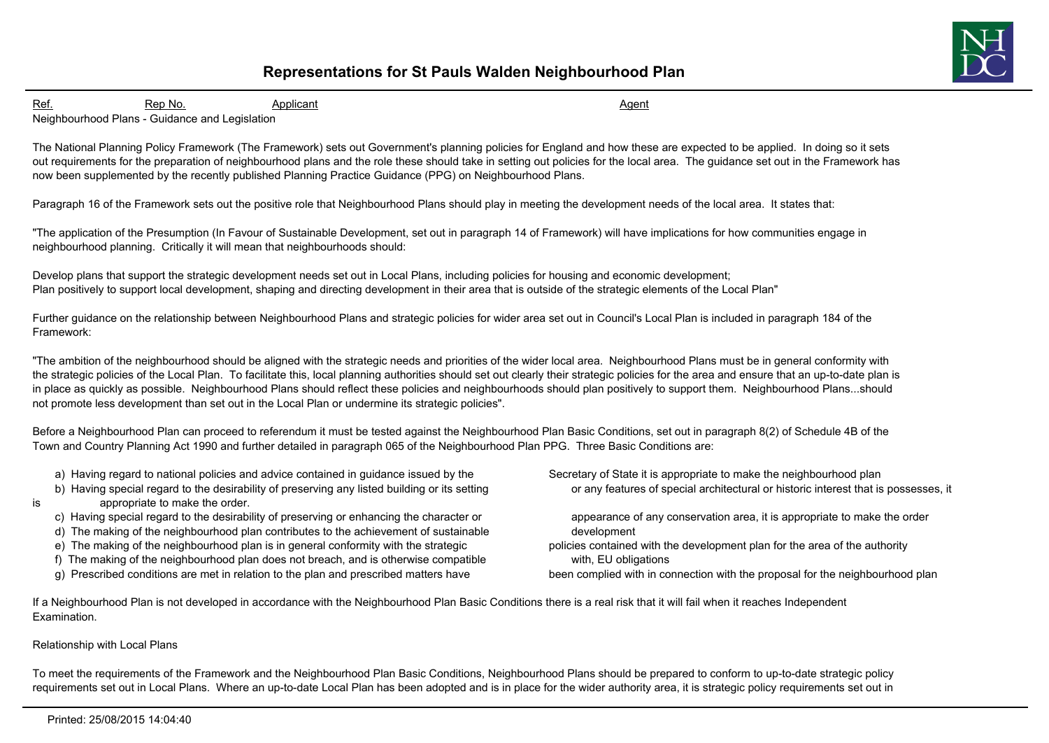

Ref. 6. Rep No. 2008 Applicant Agent Agent Agent Agent Agent Agent Agent Agent Agent

Neighbourhood Plans - Guidance and Legislation

The National Planning Policy Framework (The Framework) sets out Government's planning policies for England and how these are expected to be applied. In doing so it sets out requirements for the preparation of neighbourhood plans and the role these should take in setting out policies for the local area. The guidance set out in the Framework has now been supplemented by the recently published Planning Practice Guidance (PPG) on Neighbourhood Plans.

Paragraph 16 of the Framework sets out the positive role that Neighbourhood Plans should play in meeting the development needs of the local area. It states that:

"The application of the Presumption (In Favour of Sustainable Development, set out in paragraph 14 of Framework) will have implications for how communities engage in neighbourhood planning. Critically it will mean that neighbourhoods should:

Develop plans that support the strategic development needs set out in Local Plans, including policies for housing and economic development; Plan positively to support local development, shaping and directing development in their area that is outside of the strategic elements of the Local Plan"

Further guidance on the relationship between Neighbourhood Plans and strategic policies for wider area set out in Council's Local Plan is included in paragraph 184 of the Framework:

"The ambition of the neighbourhood should be aligned with the strategic needs and priorities of the wider local area. Neighbourhood Plans must be in general conformity with the strategic policies of the Local Plan. To facilitate this, local planning authorities should set out clearly their strategic policies for the area and ensure that an up-to-date plan is in place as quickly as possible. Neighbourhood Plans should reflect these policies and neighbourhoods should plan positively to support them. Neighbourhood Plans...should not promote less development than set out in the Local Plan or undermine its strategic policies".

Before a Neighbourhood Plan can proceed to referendum it must be tested against the Neighbourhood Plan Basic Conditions, set out in paragraph 8(2) of Schedule 4B of the Town and Country Planning Act 1990 and further detailed in paragraph 065 of the Neighbourhood Plan PPG. Three Basic Conditions are:

- a) Having regard to national policies and advice contained in guidance issued by the Secretary of State it is appropriate to make the neighbourhood plan
- b) Having special regard to the desirability of preserving any listed building or its setting or any features of special architectural or historic interest that is possesses, it
- 
- is appropriate to make the order.
	-
	- d) The making of the neighbourhood plan contributes to the achievement of sustainable development
	-
	- f) The making of the neighbourhood plan does not breach, and is otherwise compatible with, EU obligations
	- g) Prescribed conditions are met in relation to the plan and prescribed matters have been complied with in connection with the proposal for the neighbourhood plan

c) Having special regard to the desirability of preserving or enhancing the character or appearance of any conservation area, it is appropriate to make the order

e) The making of the neighbourhood plan is in general conformity with the strategic policies contained with the development plan for the area of the authority

If a Neighbourhood Plan is not developed in accordance with the Neighbourhood Plan Basic Conditions there is a real risk that it will fail when it reaches Independent Examination.

#### Relationship with Local Plans

To meet the requirements of the Framework and the Neighbourhood Plan Basic Conditions, Neighbourhood Plans should be prepared to conform to up-to-date strategic policy requirements set out in Local Plans. Where an up-to-date Local Plan has been adopted and is in place for the wider authority area, it is strategic policy requirements set out in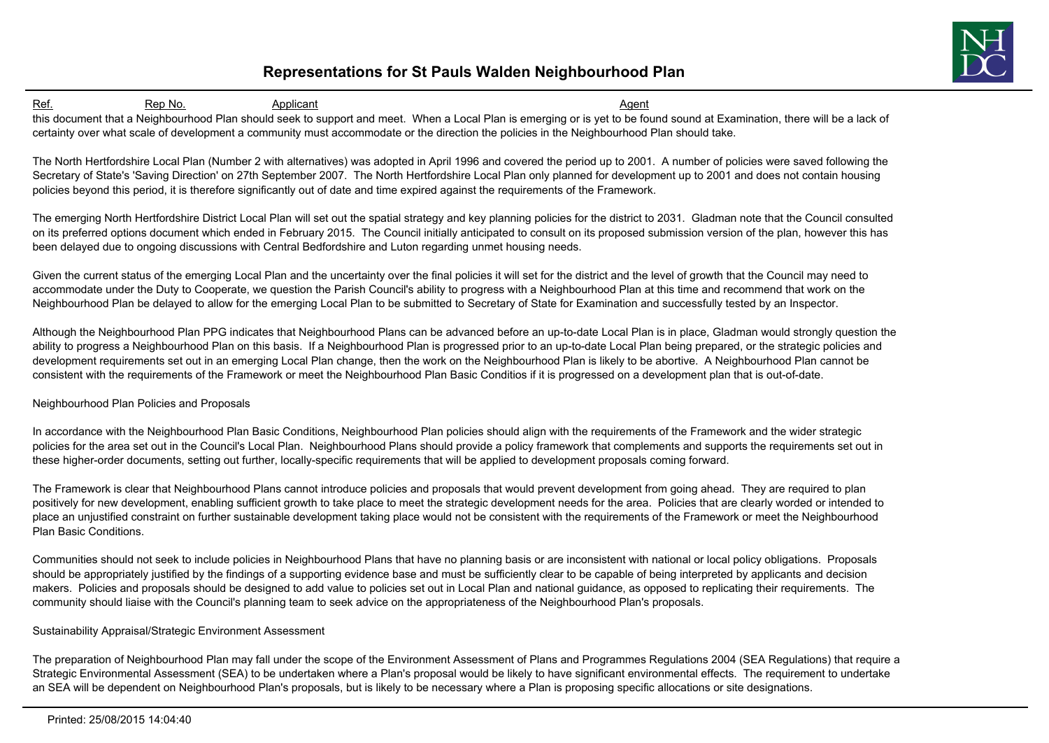

Ref. 6. Rep No. 2008 Applicant Agent Agent Agent Agent Agent Agent Agent Agent Agent this document that a Neighbourhood Plan should seek to support and meet. When a Local Plan is emerging or is yet to be found sound at Examination, there will be a lack of certainty over what scale of development a community must accommodate or the direction the policies in the Neighbourhood Plan should take.

The North Hertfordshire Local Plan (Number 2 with alternatives) was adopted in April 1996 and covered the period up to 2001. A number of policies were saved following the Secretary of State's 'Saving Direction' on 27th September 2007. The North Hertfordshire Local Plan only planned for development up to 2001 and does not contain housing policies beyond this period, it is therefore significantly out of date and time expired against the requirements of the Framework.

The emerging North Hertfordshire District Local Plan will set out the spatial strategy and key planning policies for the district to 2031. Gladman note that the Council consulted on its preferred options document which ended in February 2015. The Council initially anticipated to consult on its proposed submission version of the plan, however this has been delayed due to ongoing discussions with Central Bedfordshire and Luton regarding unmet housing needs.

Given the current status of the emerging Local Plan and the uncertainty over the final policies it will set for the district and the level of growth that the Council may need to accommodate under the Duty to Cooperate, we question the Parish Council's ability to progress with a Neighbourhood Plan at this time and recommend that work on the Neighbourhood Plan be delayed to allow for the emerging Local Plan to be submitted to Secretary of State for Examination and successfully tested by an Inspector.

Although the Neighbourhood Plan PPG indicates that Neighbourhood Plans can be advanced before an up-to-date Local Plan is in place, Gladman would strongly question the ability to progress a Neighbourhood Plan on this basis. If a Neighbourhood Plan is progressed prior to an up-to-date Local Plan being prepared, or the strategic policies and development requirements set out in an emerging Local Plan change, then the work on the Neighbourhood Plan is likely to be abortive. A Neighbourhood Plan cannot be consistent with the requirements of the Framework or meet the Neighbourhood Plan Basic Conditios if it is progressed on a development plan that is out-of-date.

#### Neighbourhood Plan Policies and Proposals

In accordance with the Neighbourhood Plan Basic Conditions, Neighbourhood Plan policies should align with the requirements of the Framework and the wider strategic policies for the area set out in the Council's Local Plan. Neighbourhood Plans should provide a policy framework that complements and supports the requirements set out in these higher-order documents, setting out further, locally-specific requirements that will be applied to development proposals coming forward.

The Framework is clear that Neighbourhood Plans cannot introduce policies and proposals that would prevent development from going ahead. They are required to plan positively for new development, enabling sufficient growth to take place to meet the strategic development needs for the area. Policies that are clearly worded or intended to place an unjustified constraint on further sustainable development taking place would not be consistent with the requirements of the Framework or meet the Neighbourhood Plan Basic Conditions.

Communities should not seek to include policies in Neighbourhood Plans that have no planning basis or are inconsistent with national or local policy obligations. Proposals should be appropriately justified by the findings of a supporting evidence base and must be sufficiently clear to be capable of being interpreted by applicants and decision makers. Policies and proposals should be designed to add value to policies set out in Local Plan and national guidance, as opposed to replicating their requirements. The community should liaise with the Council's planning team to seek advice on the appropriateness of the Neighbourhood Plan's proposals.

#### Sustainability Appraisal/Strategic Environment Assessment

The preparation of Neighbourhood Plan may fall under the scope of the Environment Assessment of Plans and Programmes Regulations 2004 (SEA Regulations) that require a Strategic Environmental Assessment (SEA) to be undertaken where a Plan's proposal would be likely to have significant environmental effects. The requirement to undertake an SEA will be dependent on Neighbourhood Plan's proposals, but is likely to be necessary where a Plan is proposing specific allocations or site designations.